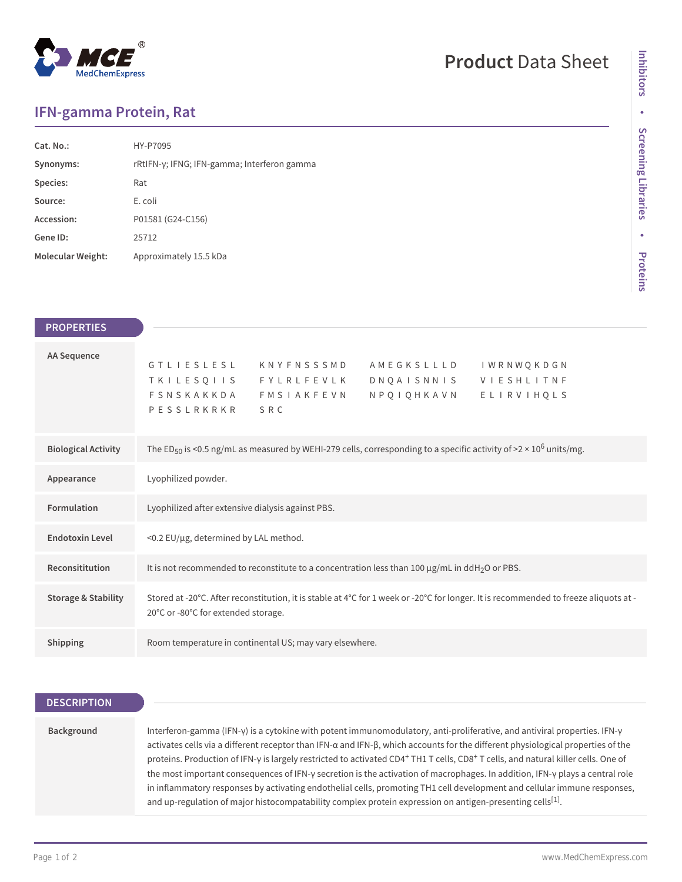# **MedChemExpress**

## **Product** Data Sheet

### **IFN-gamma Protein, Rat**

| Cat. No.:         | HY-P7095                                    |
|-------------------|---------------------------------------------|
| Synonyms:         | rRtIFN-γ; IFNG; IFN-gamma; Interferon gamma |
| Species:          | Rat                                         |
| Source:           | E. coli                                     |
| Accession:        | P01581 (G24-C156)                           |
| Gene ID:          | 25712                                       |
| Molecular Weight: | Approximately 15.5 kDa                      |
|                   |                                             |

| <b>PROPERTIES</b>              |                                                                                                                                                                                                 |  |  |
|--------------------------------|-------------------------------------------------------------------------------------------------------------------------------------------------------------------------------------------------|--|--|
| <b>AA Sequence</b>             | GTLIESLESL KNYFNSSSMD<br>A M E G K S L L L D<br>IWRNWQKDGN<br>TKILESQIIS FYLRLFEVLK<br>DNQAISNNIS VIESHLITNF<br>N P Q I Q H K A V N<br>FSNSKAKKDA FMSIAKFEVN<br>ELIRVIHQLS<br>SRC<br>PESSLRKRKR |  |  |
| <b>Biological Activity</b>     | The ED <sub>50</sub> is <0.5 ng/mL as measured by WEHI-279 cells, corresponding to a specific activity of >2 × 10 <sup>6</sup> units/mg.                                                        |  |  |
| Appearance                     | Lyophilized powder.                                                                                                                                                                             |  |  |
| Formulation                    | Lyophilized after extensive dialysis against PBS.                                                                                                                                               |  |  |
| <b>Endotoxin Level</b>         | <0.2 EU/µg, determined by LAL method.                                                                                                                                                           |  |  |
| Reconsititution                | It is not recommended to reconstitute to a concentration less than 100 µg/mL in ddH <sub>2</sub> O or PBS.                                                                                      |  |  |
| <b>Storage &amp; Stability</b> | Stored at -20°C. After reconstitution, it is stable at 4°C for 1 week or -20°C for longer. It is recommended to freeze aliquots at -<br>20°C or -80°C for extended storage.                     |  |  |
| Shipping                       | Room temperature in continental US; may vary elsewhere.                                                                                                                                         |  |  |

#### **DESCRIPTION**

#### **Background** Interferon-gamma (IFN-γ) is a cytokine with potent immunomodulatory, anti-proliferative, and antiviral properties. IFN-γ activates cells via a different receptor than IFN-α and IFN-β, which accounts for the different physiological properties of the proteins. Production of IFN-γ is largely restricted to activated CD4<sup>+</sup> TH1 T cells, CD8<sup>+</sup> T cells, and natural killer cells. One of the most important consequences of IFN-γ secretion is the activation of macrophages. In addition, IFN-γ plays a central role in inflammatory responses by activating endothelial cells, promoting TH1 cell development and cellular immune responses, and up-regulation of major histocompatability complex protein expression on antigen-presenting cells $^{[1]}$ .